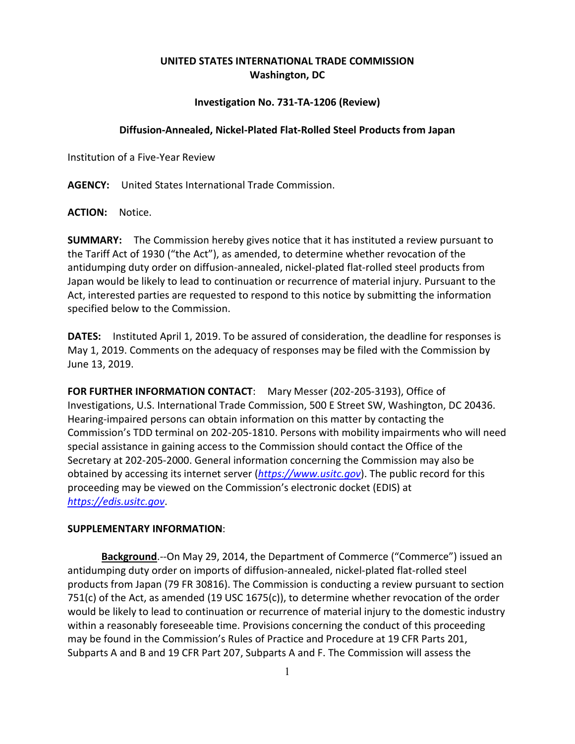## **UNITED STATES INTERNATIONAL TRADE COMMISSION Washington, DC**

## **Investigation No. 731-TA-1206 (Review)**

## **Diffusion-Annealed, Nickel-Plated Flat-Rolled Steel Products from Japan**

Institution of a Five-Year Review

**AGENCY:** United States International Trade Commission.

**ACTION:** Notice.

**SUMMARY:** The Commission hereby gives notice that it has instituted a review pursuant to the Tariff Act of 1930 ("the Act"), as amended, to determine whether revocation of the antidumping duty order on diffusion-annealed, nickel-plated flat-rolled steel products from Japan would be likely to lead to continuation or recurrence of material injury. Pursuant to the Act, interested parties are requested to respond to this notice by submitting the information specified below to the Commission.

**DATES:** Instituted April 1, 2019. To be assured of consideration, the deadline for responses is May 1, 2019. Comments on the adequacy of responses may be filed with the Commission by June 13, 2019.

**FOR FURTHER INFORMATION CONTACT**: Mary Messer (202-205-3193), Office of Investigations, U.S. International Trade Commission, 500 E Street SW, Washington, DC 20436. Hearing-impaired persons can obtain information on this matter by contacting the Commission's TDD terminal on 202-205-1810. Persons with mobility impairments who will need special assistance in gaining access to the Commission should contact the Office of the Secretary at 202-205-2000. General information concerning the Commission may also be obtained by accessing its internet server (*[https://www.usitc.gov](https://www.usitc.gov/)*). The public record for this proceeding may be viewed on the Commission's electronic docket (EDIS) at *[https://edis.usitc.gov](https://edis.usitc.gov/)*.

## **SUPPLEMENTARY INFORMATION**:

**Background**.--On May 29, 2014, the Department of Commerce ("Commerce") issued an antidumping duty order on imports of diffusion-annealed, nickel-plated flat-rolled steel products from Japan (79 FR 30816). The Commission is conducting a review pursuant to section 751(c) of the Act, as amended (19 USC 1675(c)), to determine whether revocation of the order would be likely to lead to continuation or recurrence of material injury to the domestic industry within a reasonably foreseeable time. Provisions concerning the conduct of this proceeding may be found in the Commission's Rules of Practice and Procedure at 19 CFR Parts 201, Subparts A and B and 19 CFR Part 207, Subparts A and F. The Commission will assess the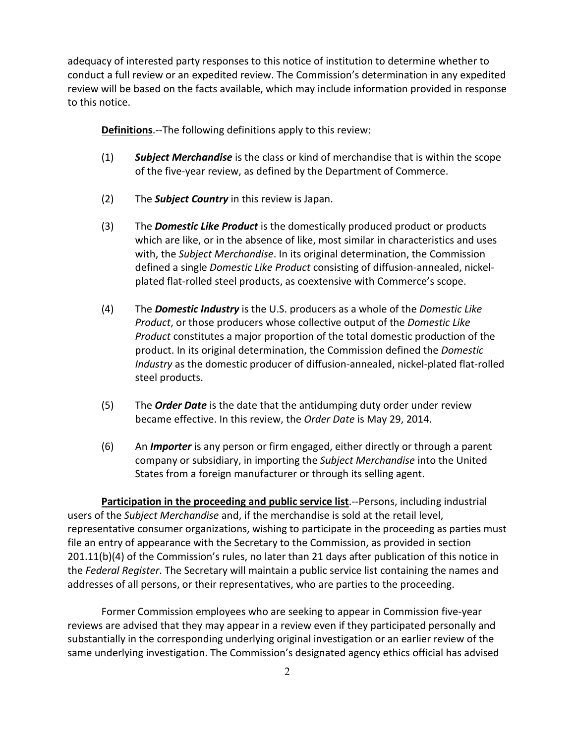adequacy of interested party responses to this notice of institution to determine whether to conduct a full review or an expedited review. The Commission's determination in any expedited review will be based on the facts available, which may include information provided in response to this notice.

**Definitions**.--The following definitions apply to this review:

- (1) *Subject Merchandise* is the class or kind of merchandise that is within the scope of the five-year review, as defined by the Department of Commerce.
- (2) The *Subject Country* in this review is Japan.
- (3) The *Domestic Like Product* is the domestically produced product or products which are like, or in the absence of like, most similar in characteristics and uses with, the *Subject Merchandise*. In its original determination, the Commission defined a single *Domestic Like Product* consisting of diffusion-annealed, nickelplated flat-rolled steel products, as coextensive with Commerce's scope.
- (4) The *Domestic Industry* is the U.S. producers as a whole of the *Domestic Like Product*, or those producers whose collective output of the *Domestic Like Product* constitutes a major proportion of the total domestic production of the product. In its original determination, the Commission defined the *Domestic Industry* as the domestic producer of diffusion-annealed, nickel-plated flat-rolled steel products.
- (5) The *Order Date* is the date that the antidumping duty order under review became effective. In this review, the *Order Date* is May 29, 2014.
- (6) An *Importer* is any person or firm engaged, either directly or through a parent company or subsidiary, in importing the *Subject Merchandise* into the United States from a foreign manufacturer or through its selling agent.

**Participation in the proceeding and public service list**.--Persons, including industrial users of the *Subject Merchandise* and, if the merchandise is sold at the retail level, representative consumer organizations, wishing to participate in the proceeding as parties must file an entry of appearance with the Secretary to the Commission, as provided in section 201.11(b)(4) of the Commission's rules, no later than 21 days after publication of this notice in the *Federal Register*. The Secretary will maintain a public service list containing the names and addresses of all persons, or their representatives, who are parties to the proceeding.

Former Commission employees who are seeking to appear in Commission five-year reviews are advised that they may appear in a review even if they participated personally and substantially in the corresponding underlying original investigation or an earlier review of the same underlying investigation. The Commission's designated agency ethics official has advised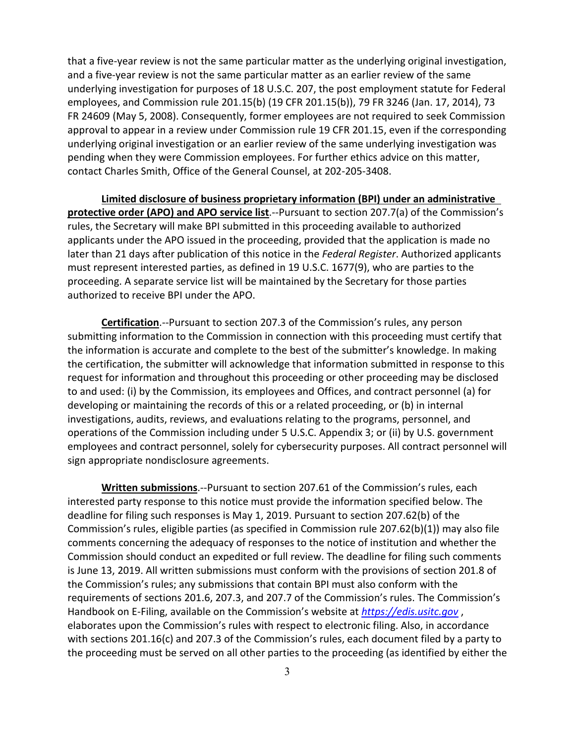that a five-year review is not the same particular matter as the underlying original investigation, and a five-year review is not the same particular matter as an earlier review of the same underlying investigation for purposes of 18 U.S.C. 207, the post employment statute for Federal employees, and Commission rule 201.15(b) (19 CFR 201.15(b)), 79 FR 3246 (Jan. 17, 2014), 73 FR 24609 (May 5, 2008). Consequently, former employees are not required to seek Commission approval to appear in a review under Commission rule 19 CFR 201.15, even if the corresponding underlying original investigation or an earlier review of the same underlying investigation was pending when they were Commission employees. For further ethics advice on this matter, contact Charles Smith, Office of the General Counsel, at 202-205-3408.

**Limited disclosure of business proprietary information (BPI) under an administrative protective order (APO) and APO service list**.--Pursuant to section 207.7(a) of the Commission's rules, the Secretary will make BPI submitted in this proceeding available to authorized applicants under the APO issued in the proceeding, provided that the application is made no later than 21 days after publication of this notice in the *Federal Register*. Authorized applicants must represent interested parties, as defined in 19 U.S.C. 1677(9), who are parties to the proceeding. A separate service list will be maintained by the Secretary for those parties authorized to receive BPI under the APO.

**Certification**.--Pursuant to section 207.3 of the Commission's rules, any person submitting information to the Commission in connection with this proceeding must certify that the information is accurate and complete to the best of the submitter's knowledge. In making the certification, the submitter will acknowledge that information submitted in response to this request for information and throughout this proceeding or other proceeding may be disclosed to and used: (i) by the Commission, its employees and Offices, and contract personnel (a) for developing or maintaining the records of this or a related proceeding, or (b) in internal investigations, audits, reviews, and evaluations relating to the programs, personnel, and operations of the Commission including under 5 U.S.C. Appendix 3; or (ii) by U.S. government employees and contract personnel, solely for cybersecurity purposes. All contract personnel will sign appropriate nondisclosure agreements.

**Written submissions**.--Pursuant to section 207.61 of the Commission's rules, each interested party response to this notice must provide the information specified below. The deadline for filing such responses is May 1, 2019. Pursuant to section 207.62(b) of the Commission's rules, eligible parties (as specified in Commission rule 207.62(b)(1)) may also file comments concerning the adequacy of responses to the notice of institution and whether the Commission should conduct an expedited or full review. The deadline for filing such comments is June 13, 2019. All written submissions must conform with the provisions of section 201.8 of the Commission's rules; any submissions that contain BPI must also conform with the requirements of sections 201.6, 207.3, and 207.7 of the Commission's rules. The Commission's Handbook on E-Filing, available on the Commission's website at *[https://edis.usitc.gov](https://edis.usitc.gov/)* , elaborates upon the Commission's rules with respect to electronic filing. Also, in accordance with sections 201.16(c) and 207.3 of the Commission's rules, each document filed by a party to the proceeding must be served on all other parties to the proceeding (as identified by either the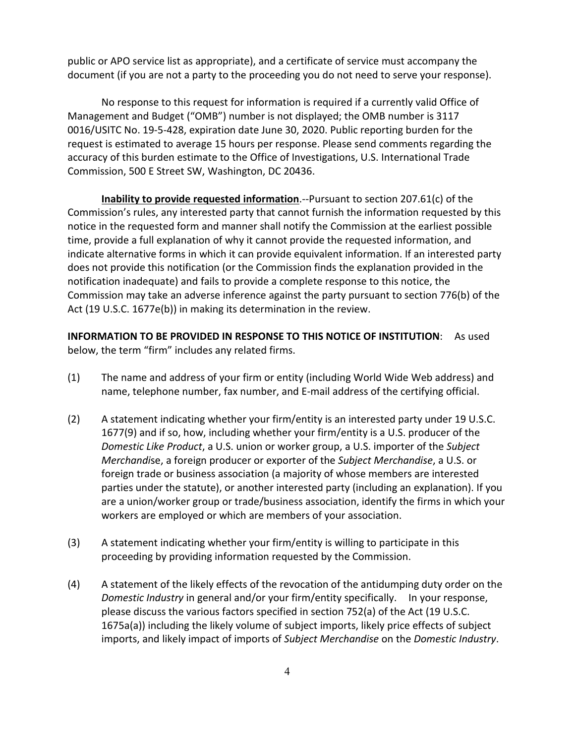public or APO service list as appropriate), and a certificate of service must accompany the document (if you are not a party to the proceeding you do not need to serve your response).

No response to this request for information is required if a currently valid Office of Management and Budget ("OMB") number is not displayed; the OMB number is 3117 0016/USITC No. 19-5-428, expiration date June 30, 2020. Public reporting burden for the request is estimated to average 15 hours per response. Please send comments regarding the accuracy of this burden estimate to the Office of Investigations, U.S. International Trade Commission, 500 E Street SW, Washington, DC 20436.

**Inability to provide requested information**.--Pursuant to section 207.61(c) of the Commission's rules, any interested party that cannot furnish the information requested by this notice in the requested form and manner shall notify the Commission at the earliest possible time, provide a full explanation of why it cannot provide the requested information, and indicate alternative forms in which it can provide equivalent information. If an interested party does not provide this notification (or the Commission finds the explanation provided in the notification inadequate) and fails to provide a complete response to this notice, the Commission may take an adverse inference against the party pursuant to section 776(b) of the Act (19 U.S.C. 1677e(b)) in making its determination in the review.

**INFORMATION TO BE PROVIDED IN RESPONSE TO THIS NOTICE OF INSTITUTION**: As used below, the term "firm" includes any related firms.

- (1) The name and address of your firm or entity (including World Wide Web address) and name, telephone number, fax number, and E-mail address of the certifying official.
- (2) A statement indicating whether your firm/entity is an interested party under 19 U.S.C. 1677(9) and if so, how, including whether your firm/entity is a U.S. producer of the *Domestic Like Product*, a U.S. union or worker group, a U.S. importer of the *Subject Merchandi*se, a foreign producer or exporter of the *Subject Merchandise*, a U.S. or foreign trade or business association (a majority of whose members are interested parties under the statute), or another interested party (including an explanation). If you are a union/worker group or trade/business association, identify the firms in which your workers are employed or which are members of your association.
- (3) A statement indicating whether your firm/entity is willing to participate in this proceeding by providing information requested by the Commission.
- (4) A statement of the likely effects of the revocation of the antidumping duty order on the *Domestic Industry* in general and/or your firm/entity specifically. In your response, please discuss the various factors specified in section 752(a) of the Act (19 U.S.C. 1675a(a)) including the likely volume of subject imports, likely price effects of subject imports, and likely impact of imports of *Subject Merchandise* on the *Domestic Industry*.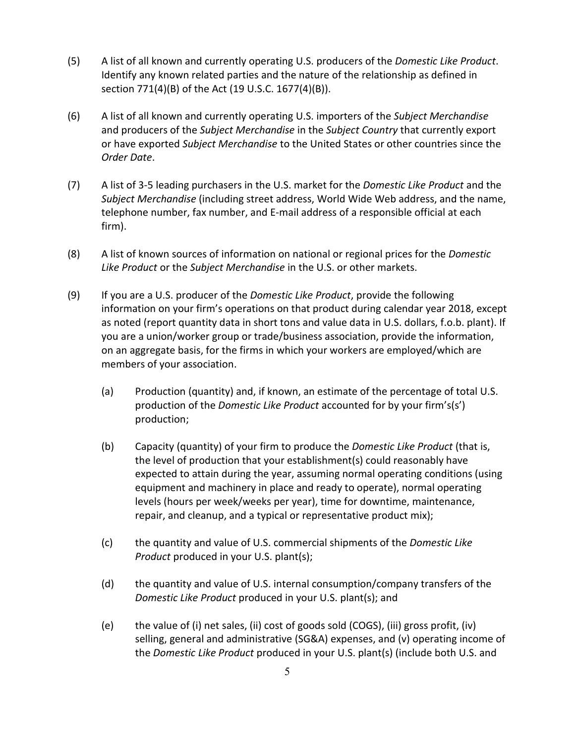- (5) A list of all known and currently operating U.S. producers of the *Domestic Like Product*. Identify any known related parties and the nature of the relationship as defined in section 771(4)(B) of the Act (19 U.S.C. 1677(4)(B)).
- (6) A list of all known and currently operating U.S. importers of the *Subject Merchandise* and producers of the *Subject Merchandise* in the *Subject Country* that currently export or have exported *Subject Merchandise* to the United States or other countries since the *Order Date*.
- (7) A list of 3-5 leading purchasers in the U.S. market for the *Domestic Like Product* and the *Subject Merchandise* (including street address, World Wide Web address, and the name, telephone number, fax number, and E-mail address of a responsible official at each firm).
- (8) A list of known sources of information on national or regional prices for the *Domestic Like Product* or the *Subject Merchandise* in the U.S. or other markets.
- (9) If you are a U.S. producer of the *Domestic Like Product*, provide the following information on your firm's operations on that product during calendar year 2018, except as noted (report quantity data in short tons and value data in U.S. dollars, f.o.b. plant). If you are a union/worker group or trade/business association, provide the information, on an aggregate basis, for the firms in which your workers are employed/which are members of your association.
	- (a) Production (quantity) and, if known, an estimate of the percentage of total U.S. production of the *Domestic Like Product* accounted for by your firm's(s') production;
	- (b) Capacity (quantity) of your firm to produce the *Domestic Like Product* (that is, the level of production that your establishment(s) could reasonably have expected to attain during the year, assuming normal operating conditions (using equipment and machinery in place and ready to operate), normal operating levels (hours per week/weeks per year), time for downtime, maintenance, repair, and cleanup, and a typical or representative product mix);
	- (c) the quantity and value of U.S. commercial shipments of the *Domestic Like Product* produced in your U.S. plant(s);
	- (d) the quantity and value of U.S. internal consumption/company transfers of the *Domestic Like Product* produced in your U.S. plant(s); and
	- (e) the value of (i) net sales, (ii) cost of goods sold (COGS), (iii) gross profit, (iv) selling, general and administrative (SG&A) expenses, and (v) operating income of the *Domestic Like Product* produced in your U.S. plant(s) (include both U.S. and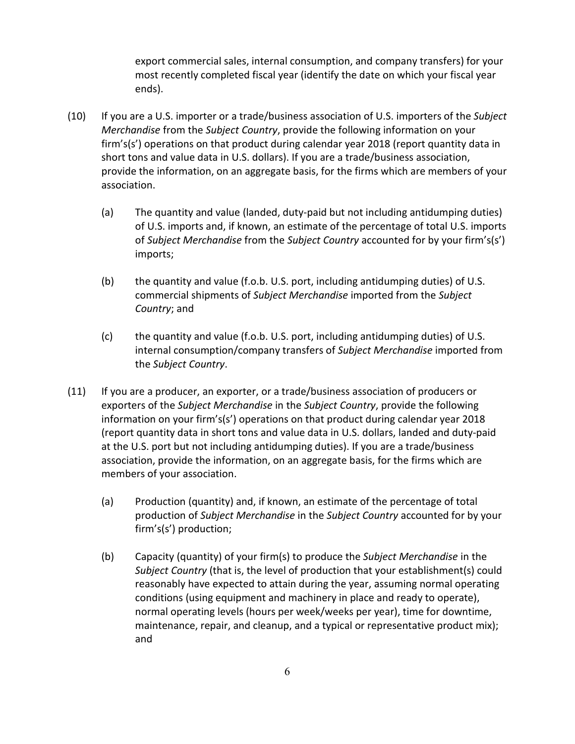export commercial sales, internal consumption, and company transfers) for your most recently completed fiscal year (identify the date on which your fiscal year ends).

- (10) If you are a U.S. importer or a trade/business association of U.S. importers of the *Subject Merchandise* from the *Subject Country*, provide the following information on your firm's(s') operations on that product during calendar year 2018 (report quantity data in short tons and value data in U.S. dollars). If you are a trade/business association, provide the information, on an aggregate basis, for the firms which are members of your association.
	- (a) The quantity and value (landed, duty-paid but not including antidumping duties) of U.S. imports and, if known, an estimate of the percentage of total U.S. imports of *Subject Merchandise* from the *Subject Country* accounted for by your firm's(s') imports;
	- (b) the quantity and value (f.o.b. U.S. port, including antidumping duties) of U.S. commercial shipments of *Subject Merchandise* imported from the *Subject Country*; and
	- (c) the quantity and value (f.o.b. U.S. port, including antidumping duties) of U.S. internal consumption/company transfers of *Subject Merchandise* imported from the *Subject Country*.
- (11) If you are a producer, an exporter, or a trade/business association of producers or exporters of the *Subject Merchandise* in the *Subject Country*, provide the following information on your firm's(s') operations on that product during calendar year 2018 (report quantity data in short tons and value data in U.S. dollars, landed and duty-paid at the U.S. port but not including antidumping duties). If you are a trade/business association, provide the information, on an aggregate basis, for the firms which are members of your association.
	- (a) Production (quantity) and, if known, an estimate of the percentage of total production of *Subject Merchandise* in the *Subject Country* accounted for by your firm's(s') production;
	- (b) Capacity (quantity) of your firm(s) to produce the *Subject Merchandise* in the *Subject Country* (that is, the level of production that your establishment(s) could reasonably have expected to attain during the year, assuming normal operating conditions (using equipment and machinery in place and ready to operate), normal operating levels (hours per week/weeks per year), time for downtime, maintenance, repair, and cleanup, and a typical or representative product mix); and